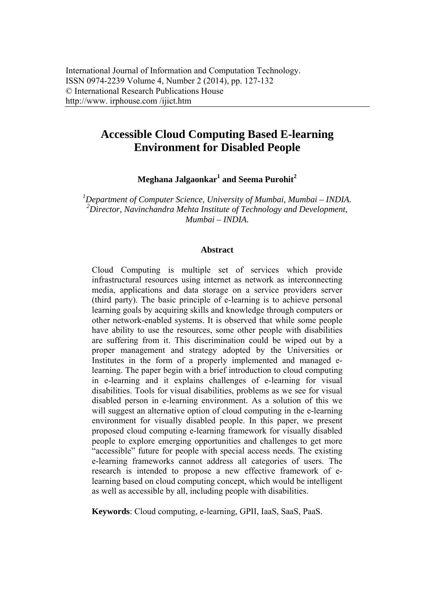# **Accessible Cloud Computing Based E-learning Environment for Disabled People**

 $\mathbf{Meghana\ Jalgaonkar}^{1}$  and Seema Purohit $^{2}$ 

*1 Department of Computer Science, University of Mumbai, Mumbai – INDIA. 2 Director, Navinchandra Mehta Institute of Technology and Development, Mumbai – INDIA.* 

#### **Abstract**

Cloud Computing is multiple set of services which provide infrastructural resources using internet as network as interconnecting media, applications and data storage on a service providers server (third party). The basic principle of e-learning is to achieve personal learning goals by acquiring skills and knowledge through computers or other network-enabled systems. It is observed that while some people have ability to use the resources, some other people with disabilities are suffering from it. This discrimination could be wiped out by a proper management and strategy adopted by the Universities or Institutes in the form of a properly implemented and managed elearning. The paper begin with a brief introduction to cloud computing in e-learning and it explains challenges of e-learning for visual disabilities. Tools for visual disabilities, problems as we see for visual disabled person in e-learning environment. As a solution of this we will suggest an alternative option of cloud computing in the e-learning environment for visually disabled people. In this paper, we present proposed cloud computing e-learning framework for visually disabled people to explore emerging opportunities and challenges to get more "accessible" future for people with special access needs. The existing e-learning frameworks cannot address all categories of users. The research is intended to propose a new effective framework of elearning based on cloud computing concept, which would be intelligent as well as accessible by all, including people with disabilities.

**Keywords**: Cloud computing, e-learning, GPII, IaaS, SaaS, PaaS.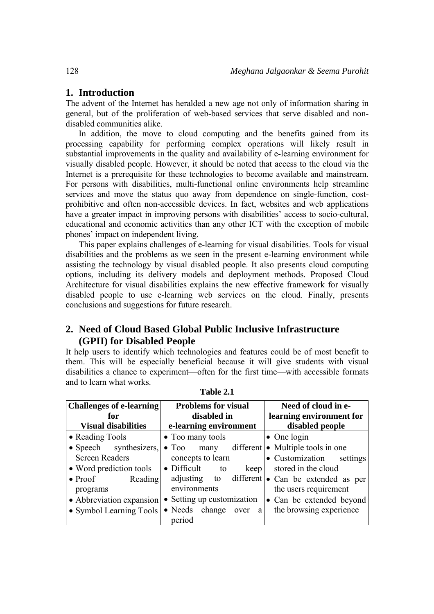# **1. Introduction**

The advent of the Internet has heralded a new age not only of information sharing in general, but of the proliferation of web-based services that serve disabled and nondisabled communities alike.

In addition, the move to cloud computing and the benefits gained from its processing capability for performing complex operations will likely result in substantial improvements in the quality and availability of e-learning environment for visually disabled people. However, it should be noted that access to the cloud via the Internet is a prerequisite for these technologies to become available and mainstream. For persons with disabilities, multi-functional online environments help streamline services and move the status quo away from dependence on single-function, costprohibitive and often non-accessible devices. In fact, websites and web applications have a greater impact in improving persons with disabilities' access to socio-cultural, educational and economic activities than any other ICT with the exception of mobile phones' impact on independent living.

This paper explains challenges of e-learning for visual disabilities. Tools for visual disabilities and the problems as we seen in the present e-learning environment while assisting the technology by visual disabled people. It also presents cloud computing options, including its delivery models and deployment methods. Proposed Cloud Architecture for visual disabilities explains the new effective framework for visually disabled people to use e-learning web services on the cloud. Finally, presents conclusions and suggestions for future research.

# **2. Need of Cloud Based Global Public Inclusive Infrastructure (GPII) for Disabled People**

It help users to identify which technologies and features could be of most benefit to them. This will be especially beneficial because it will give students with visual disabilities a chance to experiment—often for the first time—with accessible formats and to learn what works.

| <b>Challenges of e-learning</b><br>for<br><b>Visual disabilities</b>                                                                                                                           | <b>Problems for visual</b><br>disabled in                                                                                                                                                                                      | Need of cloud in e-<br>learning environment for<br>disabled people                                                                                                                                                                                   |
|------------------------------------------------------------------------------------------------------------------------------------------------------------------------------------------------|--------------------------------------------------------------------------------------------------------------------------------------------------------------------------------------------------------------------------------|------------------------------------------------------------------------------------------------------------------------------------------------------------------------------------------------------------------------------------------------------|
| • Reading Tools<br>• Speech synthesizers,<br><b>Screen Readers</b><br>• Word prediction tools<br>$\bullet$ Proof<br>Reading<br>programs<br>• Abbreviation expansion<br>• Symbol Learning Tools | e-learning environment<br>• Too many tools<br>$\bullet$ Too many<br>concepts to learn<br>$\bullet$ Difficult<br>keep<br>to<br>adjusting<br>to<br>environments<br>• Setting up customization<br>• Needs change over a<br>period | $\bullet$ One login<br>different $\bullet$ Multiple tools in one<br>• Customization<br>settings<br>stored in the cloud<br>different $\bullet$ Can be extended as per<br>the users requirement<br>• Can be extended beyond<br>the browsing experience |

**Table 2.1**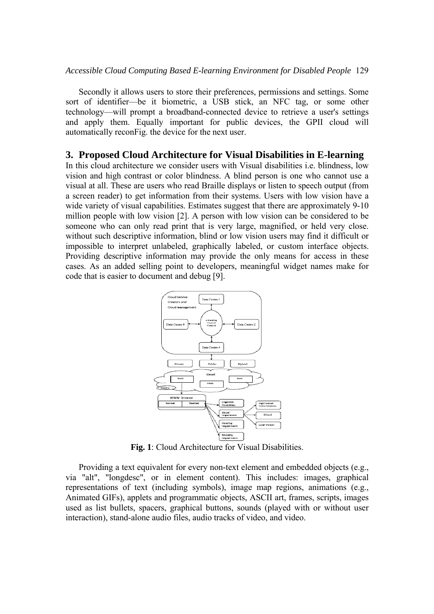Secondly it allows users to store their preferences, permissions and settings. Some sort of identifier—be it biometric, a USB stick, an NFC tag, or some other technology—will prompt a broadband-connected device to retrieve a user's settings and apply them. Equally important for public devices, the GPII cloud will automatically reconFig. the device for the next user.

#### **3. Proposed Cloud Architecture for Visual Disabilities in E-learning**

In this cloud architecture we consider users with Visual disabilities i.e. blindness, low vision and high contrast or color blindness. A blind person is one who cannot use a visual at all. These are users who read Braille displays or listen to speech output (from a screen reader) to get information from their systems. Users with low vision have a wide variety of visual capabilities. Estimates suggest that there are approximately 9-10 million people with low vision [2]. A person with low vision can be considered to be someone who can only read print that is very large, magnified, or held very close. without such descriptive information, blind or low vision users may find it difficult or impossible to interpret unlabeled, graphically labeled, or custom interface objects. Providing descriptive information may provide the only means for access in these cases. As an added selling point to developers, meaningful widget names make for code that is easier to document and debug [9].



**Fig. 1**: Cloud Architecture for Visual Disabilities.

Providing a text equivalent for every non-text element and embedded objects (e.g., via "alt", "longdesc", or in element content). This includes: images, graphical representations of text (including symbols), image map regions, animations (e.g., Animated GIFs), applets and programmatic objects, ASCII art, frames, scripts, images used as list bullets, spacers, graphical buttons, sounds (played with or without user interaction), stand-alone audio files, audio tracks of video, and video.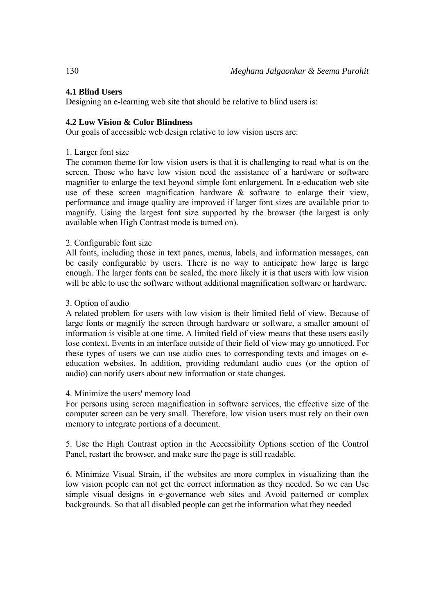# **4.1 Blind Users**

Designing an e-learning web site that should be relative to blind users is:

### **4.2 Low Vision & Color Blindness**

Our goals of accessible web design relative to low vision users are:

#### 1. Larger font size

The common theme for low vision users is that it is challenging to read what is on the screen. Those who have low vision need the assistance of a hardware or software magnifier to enlarge the text beyond simple font enlargement. In e-education web site use of these screen magnification hardware & software to enlarge their view, performance and image quality are improved if larger font sizes are available prior to magnify. Using the largest font size supported by the browser (the largest is only available when High Contrast mode is turned on).

### 2. Configurable font size

All fonts, including those in text panes, menus, labels, and information messages, can be easily configurable by users. There is no way to anticipate how large is large enough. The larger fonts can be scaled, the more likely it is that users with low vision will be able to use the software without additional magnification software or hardware.

#### 3. Option of audio

A related problem for users with low vision is their limited field of view. Because of large fonts or magnify the screen through hardware or software, a smaller amount of information is visible at one time. A limited field of view means that these users easily lose context. Events in an interface outside of their field of view may go unnoticed. For these types of users we can use audio cues to corresponding texts and images on eeducation websites. In addition, providing redundant audio cues (or the option of audio) can notify users about new information or state changes.

#### 4. Minimize the users' memory load

For persons using screen magnification in software services, the effective size of the computer screen can be very small. Therefore, low vision users must rely on their own memory to integrate portions of a document.

5. Use the High Contrast option in the Accessibility Options section of the Control Panel, restart the browser, and make sure the page is still readable.

6. Minimize Visual Strain, if the websites are more complex in visualizing than the low vision people can not get the correct information as they needed. So we can Use simple visual designs in e-governance web sites and Avoid patterned or complex backgrounds. So that all disabled people can get the information what they needed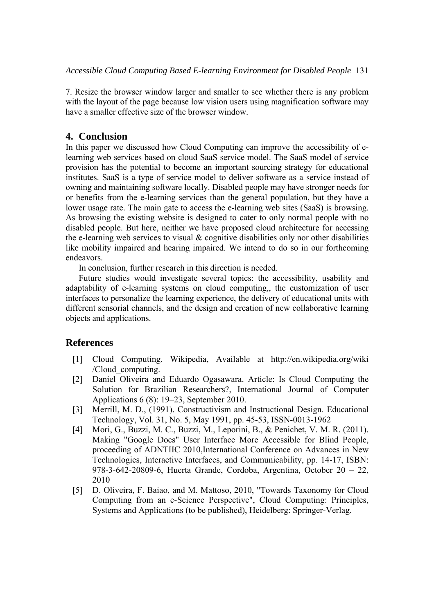7. Resize the browser window larger and smaller to see whether there is any problem with the layout of the page because low vision users using magnification software may have a smaller effective size of the browser window.

# **4. Conclusion**

In this paper we discussed how Cloud Computing can improve the accessibility of elearning web services based on cloud SaaS service model. The SaaS model of service provision has the potential to become an important sourcing strategy for educational institutes. SaaS is a type of service model to deliver software as a service instead of owning and maintaining software locally. Disabled people may have stronger needs for or benefits from the e-learning services than the general population, but they have a lower usage rate. The main gate to access the e-learning web sites (SaaS) is browsing. As browsing the existing website is designed to cater to only normal people with no disabled people. But here, neither we have proposed cloud architecture for accessing the e-learning web services to visual  $\&$  cognitive disabilities only nor other disabilities like mobility impaired and hearing impaired. We intend to do so in our forthcoming endeavors.

In conclusion, further research in this direction is needed.

Future studies would investigate several topics: the accessibility, usability and adaptability of e-learning systems on cloud computing,, the customization of user interfaces to personalize the learning experience, the delivery of educational units with different sensorial channels, and the design and creation of new collaborative learning objects and applications.

# **References**

- [1] Cloud Computing. Wikipedia, Available at http://en.wikipedia.org/wiki /Cloud\_computing.
- [2] Daniel Oliveira and Eduardo Ogasawara. Article: Is Cloud Computing the Solution for Brazilian Researchers?, International Journal of Computer Applications 6 (8): 19–23, September 2010.
- [3] Merrill, M. D., (1991). Constructivism and Instructional Design. Educational Technology, Vol. 31, No. 5, May 1991, pp. 45-53, ISSN-0013-1962
- [4] Mori, G., Buzzi, M. C., Buzzi, M., Leporini, B., & Penichet, V. M. R. (2011). Making "Google Docs" User Interface More Accessible for Blind People, proceeding of ADNTIIC 2010,International Conference on Advances in New Technologies, Interactive Interfaces, and Communicability, pp. 14-17, ISBN: 978-3-642-20809-6, Huerta Grande, Cordoba, Argentina, October 20 – 22, 2010
- [5] D. Oliveira, F. Baiao, and M. Mattoso, 2010, "Towards Taxonomy for Cloud Computing from an e-Science Perspective", Cloud Computing: Principles, Systems and Applications (to be published), Heidelberg: Springer-Verlag.